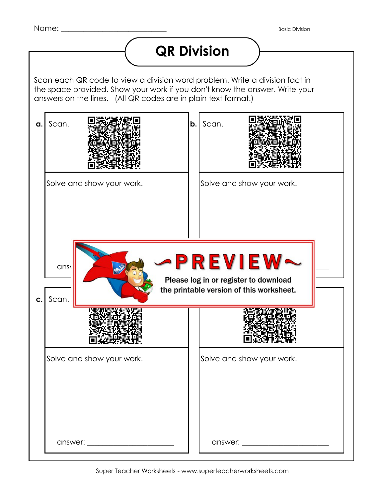## **QR Division**

Scan each QR code to view a division word problem. Write a division fact in the space provided. Show your work if you don't know the answer. Write your answers on the lines. (All QR codes are in plain text format.)

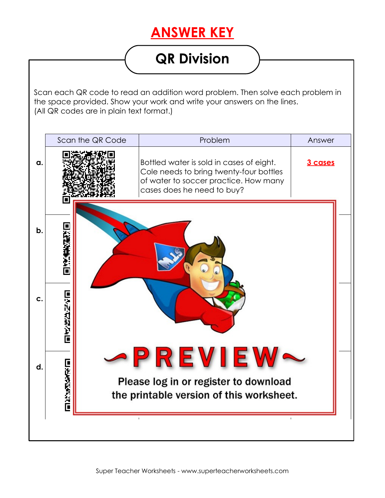#### **ANSWER KEY**

## **QR Division**

Scan each QR code to read an addition word problem. Then solve each problem in the space provided. Show your work and write your answers on the lines. (All QR codes are in plain text format.)